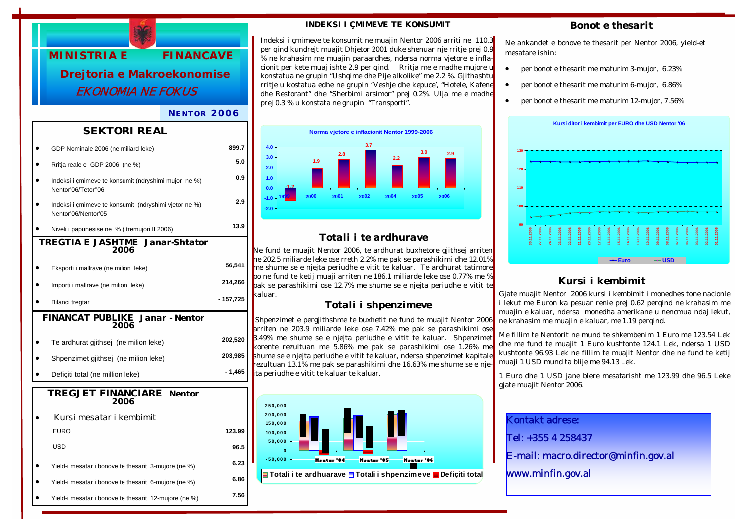

#### *NENTOR 2006*

#### *SEKTORI REAL*

|                                                       | GDP Nominale 2006 (ne miliard leke)                                          | 899.7     |  |  |
|-------------------------------------------------------|------------------------------------------------------------------------------|-----------|--|--|
|                                                       | Rritja reale e GDP 2006 (ne %)                                               | 5.0       |  |  |
|                                                       | Indeksi i çmimeve te konsumit (ndryshimi mujor ne %)<br>Nentor'06/Tetor"06   | 0.9       |  |  |
|                                                       | Indeksi i çmimeve te konsumit (ndryshimi vjetor ne %)<br>Nentor'06/Nentor'05 | 2.9       |  |  |
|                                                       | Niveli i papunesise ne % (tremujori II 2006)                                 | 13.9      |  |  |
| <b>TREGTIA E JASHTME Janar-Shtator</b><br>2006        |                                                                              |           |  |  |
|                                                       | Eksporti i mallrave (ne milion leke)                                         | 56,541    |  |  |
|                                                       | Importi i mallrave (ne milion leke)                                          | 214,266   |  |  |
|                                                       | Bilanci tregtar                                                              | - 157,725 |  |  |
| <b>FINANCAT PUBLIKE Janar - Nentor</b><br><i>2006</i> |                                                                              |           |  |  |
|                                                       | Te ardhurat gjithsej (ne milion leke)                                        | 202,520   |  |  |
|                                                       | Shpenzimet gjithsej (ne milion leke)                                         | 203,985   |  |  |
|                                                       | Deficiti total (ne million leke)                                             | - 1,465   |  |  |
| <b>TREGJET FINANCIARE</b> Nentor<br>2006              |                                                                              |           |  |  |
|                                                       |                                                                              |           |  |  |
|                                                       | Kursi mesatar i kembimit                                                     |           |  |  |
|                                                       | <b>EURO</b>                                                                  | 123.99    |  |  |
|                                                       | <b>USD</b>                                                                   | 96.5      |  |  |
|                                                       | Yield-i mesatar i bonove te thesarit 3-mujore (ne %)                         | 6.23      |  |  |
|                                                       | Yield-i mesatar i bonove te thesarit 6-mujore (ne %)                         | 6.86      |  |  |

#### *INDEKSI I ÇMIMEVE TE KONSUMIT*

Indeksi i çmimeve te konsumit ne muajin Nentor 2006 arriti ne 110.3 per qind kundrejt muajit Dhjetor 2001 duke shenuar nje rritje prej 0.9 % ne krahasim me muajin paraardhes, ndersa norma vjetore e inflacionit per kete muaj ishte 2.9 per qind. Rritja me e madhe mujore u konstatua ne grupin "Ushqime dhe Pije alkolike" me 2.2 %. Gjithashtu rritje u kostatua edhe ne grupin "Veshje dhe kepuce', "Hotele, Kafene dhe Restorant" dhe "Sherbimi arsimor" prej 0.2%. Ulja me e madhe prej 0.3 % u konstata ne grupin "Transporti".



# *Totali i te ardhurave*

Ne fund te muajit Nentor 2006, te ardhurat buxhetore gjithsej arriten ne 202.5 miliarde leke ose rreth 2.2% me pak se parashikimi dhe 12.01% me shume se e njejta periudhe e vitit te kaluar. Te ardhurat tatimore po ne fund te ketij muaji arriten ne 186.1 miliarde leke ose 0.77% me % pak se parashikimi ose 12.7% me shume se e njejta periudhe e vitit te kaluar.

### *Totali i shpenzimeve*

 Shpenzimet e pergjithshme te buxhetit ne fund te muajit Nentor 2006 arriten ne 203.9 miliarde leke ose 7.42% me pak se parashikimi ose 3.49% me shume se e njejta periudhe e vitit te kaluar. Shpenzimet korente rezultuan me 5.86% me pak se parashikimi ose 1.26% me shume se e njejta periudhe e vitit te kaluar, ndersa shpenzimet kapitale rezultuan 13.1% me pak se parashikimi dhe 16.63% me shume se e njeita periudhe e vitit te kaluar te kaluar.



#### *Bonot e thesarit*

Ne ankandet e bonove te thesarit per Nentor 2006, yield-et mesatare ishin:

- per bonot e thesarit me maturim 3-mujor, 6.23%
- per bonot e thesarit me maturim 6-mujor, 6.86%
- per bonot e thesarit me maturim 12-mujor, 7.56%



# *Kursi i kembimit*

Gjate muajit Nentor 2006 kursi i kembimit i monedhes tone nacionle i lekut me Euron ka pesuar renie prej 0.62 perqind ne krahasim me muajin e kaluar, ndersa monedha amerikane u nencmua ndaj lekut, ne krahasim me muajin e kaluar, me 1.19 perqind.

Me fillim te Nentorit ne mund te shkembenim 1 Euro me 123.54 Lek dhe me fund te muajit 1 Euro kushtonte 124.1 Lek, ndersa 1 USD kushtonte 96.93 Lek ne fillim te muajit Nentor dhe ne fund te ketij muaji 1 USD mund ta blije me 94.13 Lek.

1 Euro dhe 1 USD jane blere mesatarisht me 123.99 dhe 96.5 Leke gjate muajit Nentor 2006.

Kontakt adrese: Tel: +355 4 258437

E-mail: macro.director@minfin.gov.al

www.minfin.gov.al